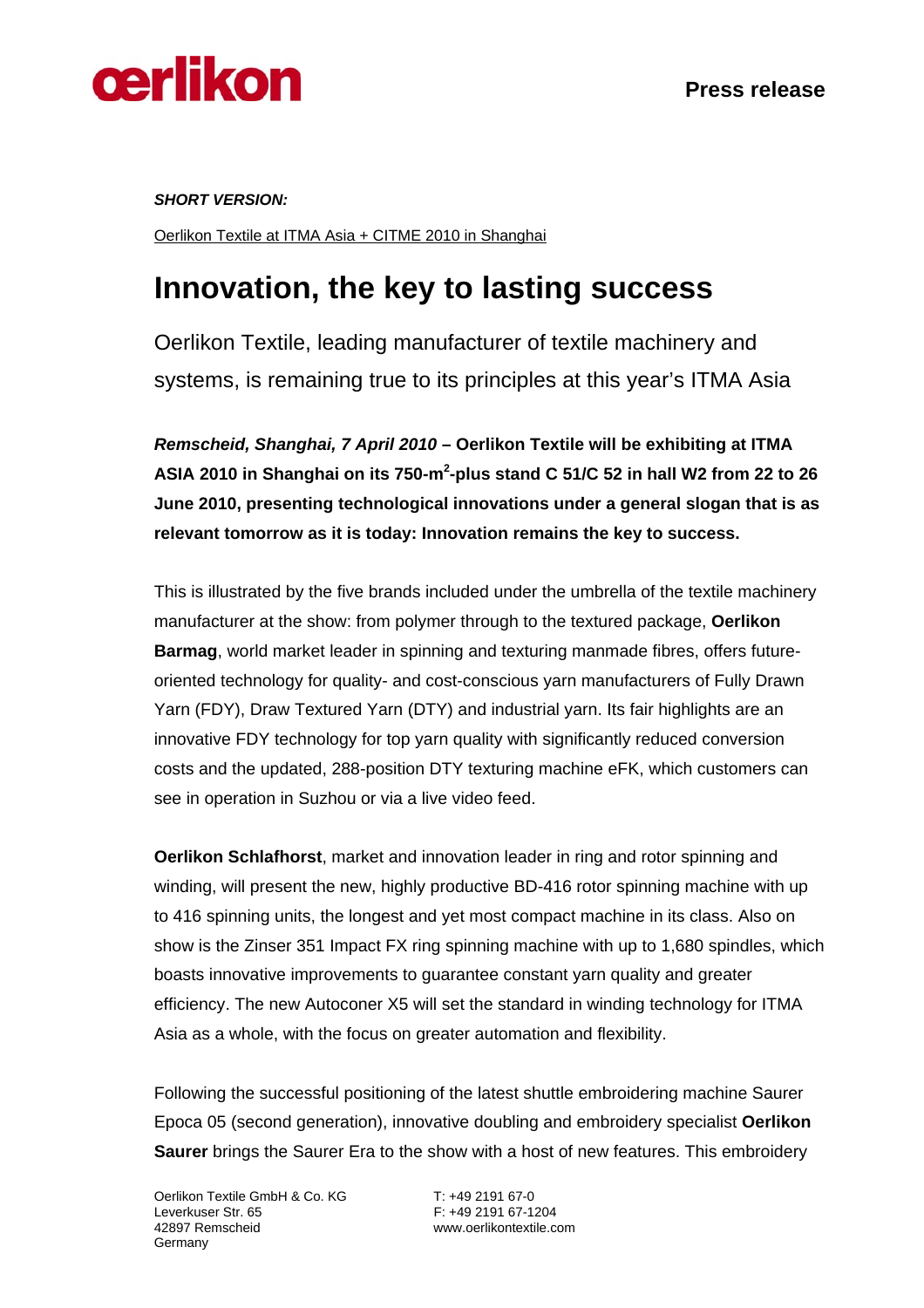

*SHORT VERSION:* 

Oerlikon Textile at ITMA Asia + CITME 2010 in Shanghai

## **Innovation, the key to lasting success**

Oerlikon Textile, leading manufacturer of textile machinery and systems, is remaining true to its principles at this year's ITMA Asia

*Remscheid, Shanghai, 7 April 2010* **– Oerlikon Textile will be exhibiting at ITMA**  ASIA 2010 in Shanghai on its 750-m<sup>2</sup>-plus stand C 51/C 52 in hall W2 from 22 to 26 **June 2010, presenting technological innovations under a general slogan that is as relevant tomorrow as it is today: Innovation remains the key to success.**

This is illustrated by the five brands included under the umbrella of the textile machinery manufacturer at the show: from polymer through to the textured package, **Oerlikon Barmag**, world market leader in spinning and texturing manmade fibres, offers futureoriented technology for quality- and cost-conscious yarn manufacturers of Fully Drawn Yarn (FDY), Draw Textured Yarn (DTY) and industrial yarn. Its fair highlights are an innovative FDY technology for top yarn quality with significantly reduced conversion costs and the updated, 288-position DTY texturing machine eFK, which customers can see in operation in Suzhou or via a live video feed.

**Oerlikon Schlafhorst**, market and innovation leader in ring and rotor spinning and winding, will present the new, highly productive BD-416 rotor spinning machine with up to 416 spinning units, the longest and yet most compact machine in its class. Also on show is the Zinser 351 Impact FX ring spinning machine with up to 1,680 spindles, which boasts innovative improvements to guarantee constant yarn quality and greater efficiency. The new Autoconer X5 will set the standard in winding technology for ITMA Asia as a whole, with the focus on greater automation and flexibility.

Following the successful positioning of the latest shuttle embroidering machine Saurer Epoca 05 (second generation), innovative doubling and embroidery specialist **Oerlikon Saurer** brings the Saurer Era to the show with a host of new features. This embroidery